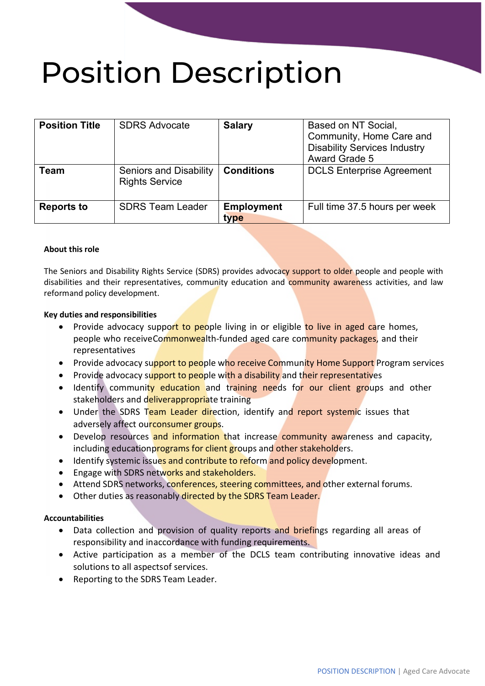# Position Description

| <b>Position Title</b> | <b>SDRS Advocate</b>                                   | <b>Salary</b>             | Based on NT Social,<br>Community, Home Care and<br><b>Disability Services Industry</b><br><b>Award Grade 5</b> |
|-----------------------|--------------------------------------------------------|---------------------------|----------------------------------------------------------------------------------------------------------------|
| Team                  | <b>Seniors and Disability</b><br><b>Rights Service</b> | <b>Conditions</b>         | <b>DCLS Enterprise Agreement</b>                                                                               |
| <b>Reports to</b>     | <b>SDRS Team Leader</b>                                | <b>Employment</b><br>type | Full time 37.5 hours per week                                                                                  |

## **About this role**

The Seniors and Disability Rights Service (SDRS) provides advocacy support to older people and people with disabilities and their representatives, community education and community awareness activities, and law reformand policy development.

## **Key duties and responsibilities**

- Provide advocacy support to people living in or eligible to live in aged care homes, people who receiveCommonwealth-funded aged care community packages, and their representatives
- Provide advocacy support to people who receive Community Home Support Program services
- Provide advocacy support to people with a disability and their representatives
- Identify community education and training needs for our client groups and other stakeholders and deliverappropriate training
- Under the SDRS Team Leader direction, identify and report systemic issues that adversely affect ourconsumer groups.
- Develop resources and information that increase community awareness and capacity, including educationprograms for client groups and other stakeholders.
- Identify systemic issues and contribute to reform and policy development.
- Engage with SDRS networks and stakeholders.
- Attend SDRS networks, conferences, steering committees, and other external forums.
- Other duties as reasonably directed by the SDRS Team Leader.

## **Accountabilities**

- Data collection and provision of quality reports and briefings regarding all areas of responsibility and inaccordance with funding requirements.
- Active participation as a member of the DCLS team contributing innovative ideas and solutions to all aspectsof services.
- Reporting to the SDRS Team Leader.